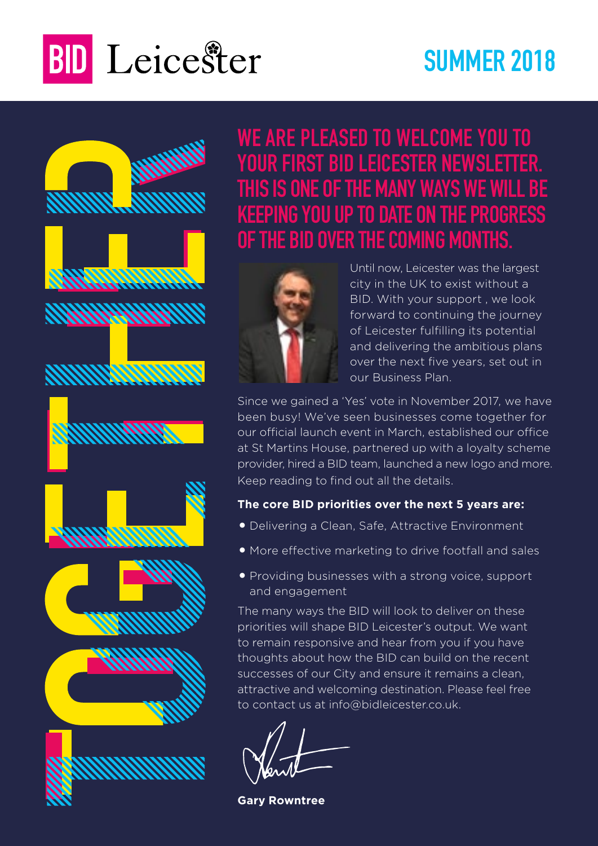

### **SUMMER 2018**



**WE ARE PLEASED TO WELCOME YOU TO YOUR FIRST BID LEICESTER NEWSLETTER. THIS IS ONE OF THE MANY WAYS WE WILL BE KEEPING YOU UP TO DATE ON THE PROGRESS OF THE BID OVER THE COMING MONTHS.**



Until now, Leicester was the largest city in the UK to exist without a BID. With your support , we look forward to continuing the journey of Leicester fulfilling its potential and delivering the ambitious plans over the next five years, set out in our Business Plan.

Since we gained a 'Yes' vote in November 2017, we have been busy! We've seen businesses come together for our official launch event in March, established our office at St Martins House, partnered up with a loyalty scheme provider, hired a BID team, launched a new logo and more. Keep reading to find out all the details.

#### **The core BID priorities over the next 5 years are:**

- Delivering a Clean, Safe, Attractive Environment
- More effective marketing to drive footfall and sales
- Providing businesses with a strong voice, support and engagement

The many ways the BID will look to deliver on these priorities will shape BID Leicester's output. We want to remain responsive and hear from you if you have thoughts about how the BID can build on the recent successes of our City and ensure it remains a clean, attractive and welcoming destination. Please feel free to contact us at info@bidleicester.co.uk.

**Gary Rowntree**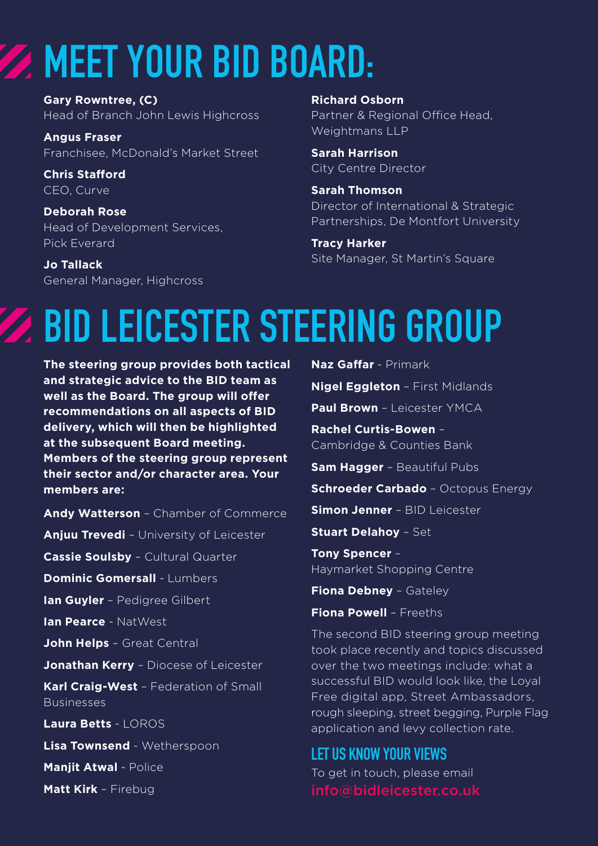## **MEET YOUR BID BOARD:**

**Gary Rowntree, (C)**  Head of Branch John Lewis Highcross

**Angus Fraser**  Franchisee, McDonald's Market Street

**Chris Stafford** CEO, Curve

**Deborah Rose** Head of Development Services, Pick Everard

**Jo Tallack** General Manager, Highcross **Richard Osborn** Partner & Regional Office Head, Weightmans LLP

**Sarah Harrison** City Centre Director

**Sarah Thomson** Director of International & Strategic Partnerships, De Montfort University

**Tracy Harker** Site Manager, St Martin's Square

# **BID LEICESTER STEERING GROUP**

**The steering group provides both tactical and strategic advice to the BID team as well as the Board. The group will offer recommendations on all aspects of BID delivery, which will then be highlighted at the subsequent Board meeting. Members of the steering group represent their sector and/or character area. Your members are:**

**Andy Watterson** – Chamber of Commerce **Anjuu Trevedi** – University of Leicester **Cassie Soulsby** – Cultural Quarter **Dominic Gomersall** - Lumbers **Ian Guyler** – Pedigree Gilbert **Ian Pearce** - NatWest **John Helps** – Great Central **Jonathan Kerry** – Diocese of Leicester **Karl Craig-West** – Federation of Small Businesses Laura Betts - LOROS **Lisa Townsend** - Wetherspoon **Manjit Atwal** - Police **Matt Kirk** – Firebug

**Naz Gaffar** - Primark **Nigel Eggleton** – First Midlands **Paul Brown** – Leicester YMCA **Rachel Curtis-Bowen** – Cambridge & Counties Bank **Sam Hagger** – Beautiful Pubs **Schroeder Carbado** – Octopus Energy **Simon Jenner** – BID Leicester **Stuart Delahoy** – Set **Tony Spencer** – Haymarket Shopping Centre **Fiona Debney** – Gateley **Fiona Powell** – Freeths The second BID steering group meeting took place recently and topics discussed over the two meetings include: what a successful BID would look like, the Loyal Free digital app, Street Ambassadors,

#### rough sleeping, street begging, Purple Flag application and levy collection rate.

#### **LET US KNOW YOUR VIEWS**

To get in touch, please email info@bidleicester.co.uk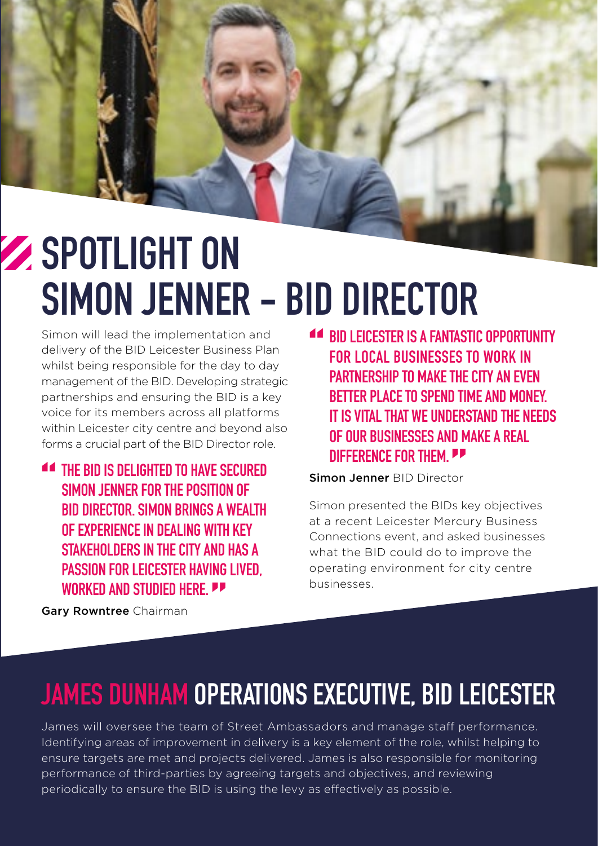

### **SPOTLIGHT ON SIMON JENNER - BID DIRECTOR**

Simon will lead the implementation and delivery of the BID Leicester Business Plan whilst being responsible for the day to day management of the BID. Developing strategic partnerships and ensuring the BID is a key voice for its members across all platforms within Leicester city centre and beyond also forms a crucial part of the BID Director role.

- **" THE BID IS DELIGHTED TO HAVE SECURED SIMON JENNER FOR THE POSITION OF BID DIRECTOR. SIMON BRINGS A WEALTH OF EXPERIENCE IN DEALING WITH KEY STAKEHOLDERS IN THE CITY AND HAS A PASSION FOR LEICESTER HAVING LIVED, WORKED AND STUDIED HERE. "**
- **44 BID LEICESTER IS A FANTASTIC OPPORTUNITY<br>
FOR LOCAL BUSINESSES TO WORK IN<br>
PARTNERSHIP TO MAKE THE CITY AN EVEN FOR LOCAL BUSINESSES TO WORK IN PARTNERSHIP TO MAKE THE CITY AN EVEN BETTER PLACE TO SPEND TIME AND MONEY. IT IS VITAL THAT WE UNDERSTAND THE NEEDS OF OUR BUSINESSES AND MAKE A REAL DIFFERENCE FOR THEM. "**

Simon Jenner BID Director

Simon presented the BIDs key objectives at a recent Leicester Mercury Business Connections event, and asked businesses what the BID could do to improve the operating environment for city centre businesses.

Gary Rowntree Chairman

#### **JAMES DUNHAM OPERATIONS EXECUTIVE, BID LEICESTER**

James will oversee the team of Street Ambassadors and manage staff performance. Identifying areas of improvement in delivery is a key element of the role, whilst helping to ensure targets are met and projects delivered. James is also responsible for monitoring performance of third-parties by agreeing targets and objectives, and reviewing periodically to ensure the BID is using the levy as effectively as possible.